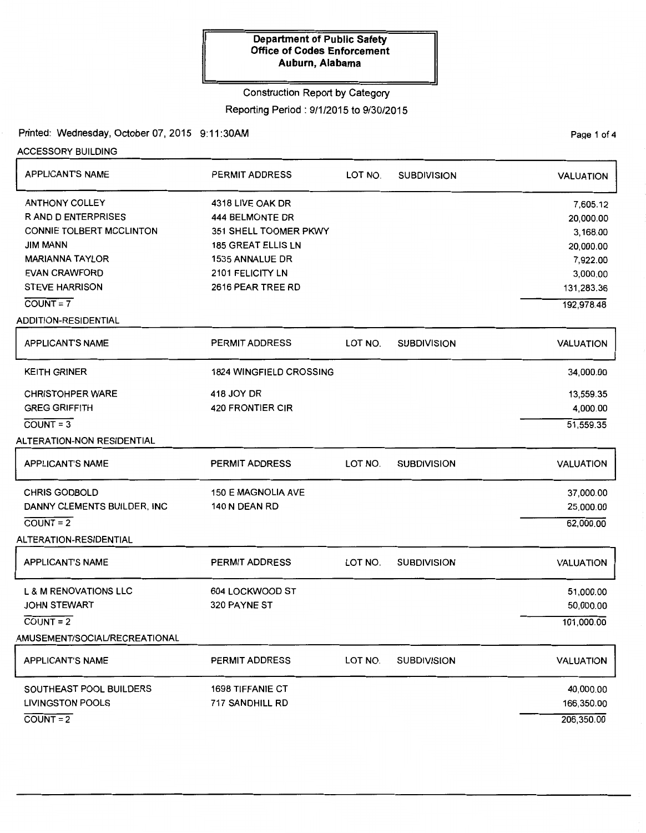### Construction Report by Category

Reporting Period: 9/1/2015 to 9/30/2015

Printed: Wednesday, October 07, 2015 9:11:30AM Printed: Wednesday, October 07, 2015 9:11:30AM

ACCESSORY BUILDING

| APPLICANT'S NAME                                                                                                                                                                    | <b>PERMIT ADDRESS</b>                                                                                                                                        | LOT NO. | <b>SUBDIVISION</b> | <b>VALUATION</b>                                                                                   |
|-------------------------------------------------------------------------------------------------------------------------------------------------------------------------------------|--------------------------------------------------------------------------------------------------------------------------------------------------------------|---------|--------------------|----------------------------------------------------------------------------------------------------|
| <b>ANTHONY COLLEY</b><br><b>RAND DENTERPRISES</b><br>CONNIE TOLBERT MCCLINTON<br>JIM MANN<br><b>MARIANNA TAYLOR</b><br><b>EVAN CRAWFORD</b><br><b>STEVE HARRISON</b><br>$COUNT = 7$ | 4318 LIVE OAK DR<br><b>444 BELMONTE DR</b><br>351 SHELL TOOMER PKWY<br><b>185 GREAT ELLIS LN</b><br>1535 ANNALUE DR<br>2101 FELICITY LN<br>2616 PEAR TREE RD |         |                    | 7,605.12<br>20,000.00<br>3,168.00<br>20,000.00<br>7,922.00<br>3,000.00<br>131,283.36<br>192,978.48 |
| <b>ADDITION-RESIDENTIAL</b>                                                                                                                                                         |                                                                                                                                                              |         |                    |                                                                                                    |
| <b>APPLICANT'S NAME</b>                                                                                                                                                             | <b>PERMIT ADDRESS</b>                                                                                                                                        | LOT NO. | <b>SUBDIVISION</b> | <b>VALUATION</b>                                                                                   |
| <b>KEITH GRINER</b>                                                                                                                                                                 | <b>1824 WINGFIELD CROSSING</b>                                                                                                                               |         |                    | 34,000.00                                                                                          |
| <b>CHRISTOHPER WARE</b><br><b>GREG GRIFFITH</b><br>$COUNT = 3$<br>ALTERATION-NON RESIDENTIAL                                                                                        | 418 JOY DR<br><b>420 FRONTIER CIR</b>                                                                                                                        |         |                    | 13,559.35<br>4,000.00<br>51,559.35                                                                 |
| <b>APPLICANT'S NAME</b>                                                                                                                                                             | PERMIT ADDRESS                                                                                                                                               | LOT NO. | <b>SUBDIVISION</b> | <b>VALUATION</b>                                                                                   |
| <b>CHRIS GODBOLD</b><br>DANNY CLEMENTS BUILDER, INC<br>$COVNT = 2$<br>ALTERATION-RESIDENTIAL                                                                                        | <b>150 E MAGNOLIA AVE</b><br>140 N DEAN RD                                                                                                                   |         |                    | 37,000.00<br>25,000.00<br>62,000.00                                                                |
| <b>APPLICANT'S NAME</b>                                                                                                                                                             | PERMIT ADDRESS                                                                                                                                               | LOT NO. | <b>SUBDIVISION</b> | <b>VALUATION</b>                                                                                   |
| <b>L &amp; M RENOVATIONS LLC</b><br><b>JOHN STEWART</b><br>$COUNT = 2$<br>AMUSEMENT/SOCIAL/RECREATIONAL                                                                             | 604 LOCKWOOD ST<br>320 PAYNE ST                                                                                                                              |         |                    | 51,000.00<br>50,000.00<br>101,000.00                                                               |
| <b>APPLICANT'S NAME</b>                                                                                                                                                             | PERMIT ADDRESS                                                                                                                                               | LOT NO. | <b>SUBDIVISION</b> | <b>VALUATION</b>                                                                                   |
| SOUTHEAST POOL BUILDERS<br><b>LIVINGSTON POOLS</b><br>$COVNT = 2$                                                                                                                   | <b>1698 TIFFANIE CT</b><br>717 SANDHILL RD                                                                                                                   |         |                    | 40,000.00<br>166,350.00<br>206,350.00                                                              |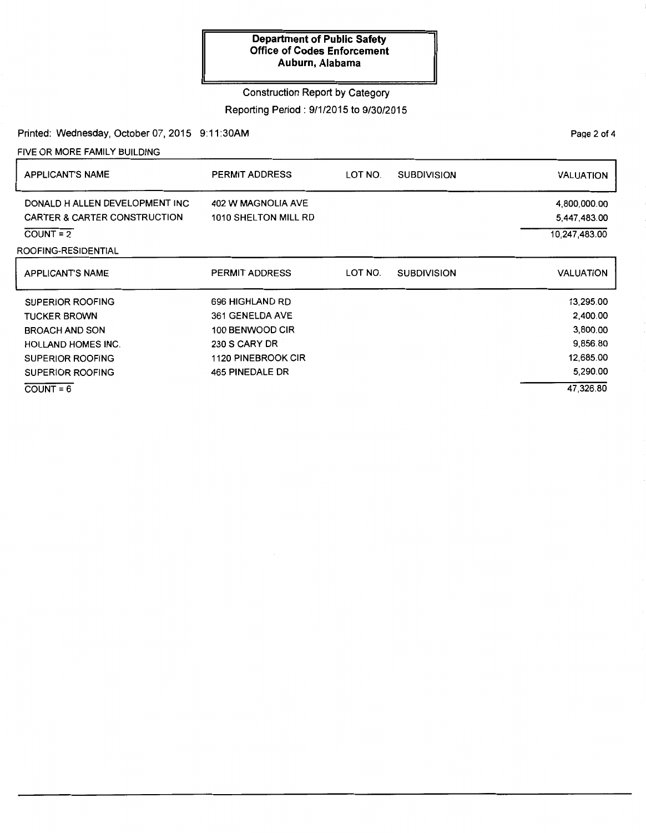## Construction Report by Category

### Reporting Period : 9/1/2015 to 9/30/2015

Printed: Wednesday, October 07, 2015 9:11:30AM

FIVE OR MORE FAMILY BUILDING

| <b>APPLICANT'S NAME</b>                                                   | <b>PERMIT ADDRESS</b>                      | LOT NO. | <b>SUBDIVISION</b> | <b>VALUATION</b>             |
|---------------------------------------------------------------------------|--------------------------------------------|---------|--------------------|------------------------------|
| DONALD H ALLEN DEVELOPMENT INC<br><b>CARTER &amp; CARTER CONSTRUCTION</b> | 402 W MAGNOLIA AVE<br>1010 SHELTON MILL RD |         |                    | 4,800,000.00<br>5,447,483.00 |
| $COUNT = 2$                                                               |                                            |         |                    | 10,247,483.00                |
| ROOFING-RESIDENTIAL                                                       |                                            |         |                    |                              |
| <b>APPLICANT'S NAME</b>                                                   | <b>PERMIT ADDRESS</b>                      | LOT NO. | <b>SUBDIVISION</b> | VALUATION                    |
| <b>SUPERIOR ROOFING</b>                                                   | 696 HIGHLAND RD                            |         |                    | 13,295.00                    |
| <b>TUCKER BROWN</b>                                                       | 361 GENELDA AVE                            |         |                    | 2,400.00                     |
| <b>BROACH AND SON</b>                                                     | 100 BENWOOD CIR                            |         |                    | 3,800.00                     |
| <b>HOLLAND HOMES INC.</b>                                                 | 230 S CARY DR                              |         |                    | 9,856.80                     |
| <b>SUPERIOR ROOFING</b>                                                   | 1120 PINEBROOK CIR                         |         |                    | 12,685.00                    |
| SUPERIOR ROOFING                                                          | 465 PINEDALE DR                            |         |                    | 5,290.00                     |
| $COUNT = 6$                                                               |                                            |         |                    | 47,326.80                    |

PaQe 2 of 4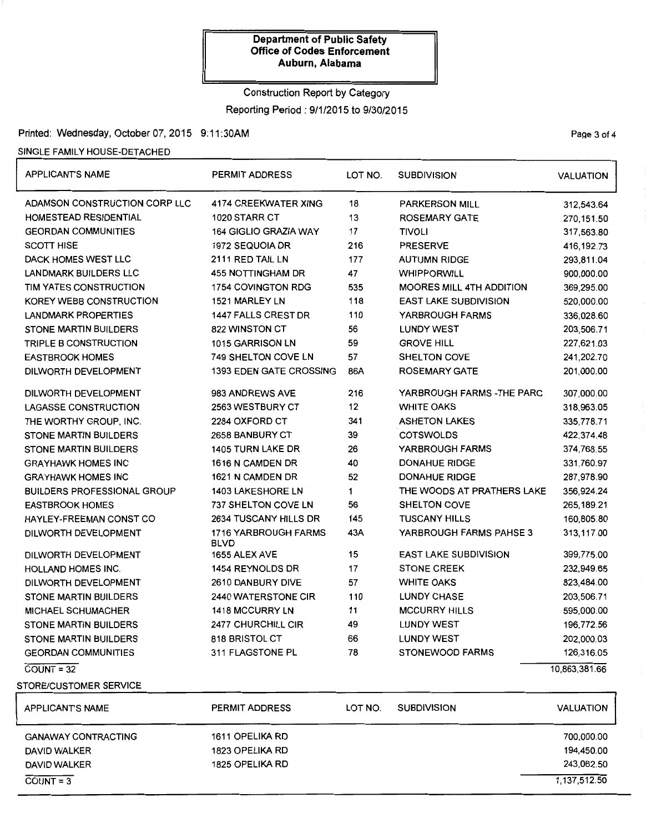## Construction Report by Category Reporting Period : 9/1/2015 to 9/30/2015

## Printed: Wednesday, October 07, 2015 9:11:30AM Page 3 of 4

### SINGLE FAMILY HOUSE-DETACHED

| <b>APPLICANT'S NAME</b>            | <b>PERMIT ADDRESS</b>               | LOT NO.                      | <b>SUBDIVISION</b>              |                  |
|------------------------------------|-------------------------------------|------------------------------|---------------------------------|------------------|
| ADAMSON CONSTRUCTION CORP LLC      | <b>4174 CREEKWATER XING</b>         | 18                           | <b>PARKERSON MILL</b>           | 312,543.64       |
| HOMESTEAD RESIDENTIAL              | 1020 STARR CT                       | 13                           | <b>ROSEMARY GATE</b>            | 270,151.50       |
| <b>GEORDAN COMMUNITIES</b>         | <b>164 GIGLIO GRAZIA WAY</b>        | 17                           | <b>TIVOLI</b>                   | 317,563.80       |
| <b>SCOTT HISE</b>                  | 1972 SEQUOIA DR                     | 216                          | <b>PRESERVE</b>                 | 416, 192. 73     |
| DACK HOMES WEST LLC                | 2111 RED TAIL LN                    | 177                          | <b>AUTUMN RIDGE</b>             | 293,811.04       |
| <b>LANDMARK BUILDERS LLC</b>       | 455 NOTTINGHAM DR                   | 47                           | <b>WHIPPORWILL</b>              | 900,000.00       |
| TIM YATES CONSTRUCTION             | 1754 COVINGTON RDG                  | 535                          | <b>MOORES MILL 4TH ADDITION</b> | 369,295.00       |
| KOREY WEBB CONSTRUCTION            | 1521 MARLEY LN                      | 118                          | <b>EAST LAKE SUBDIVISION</b>    | 520,000.00       |
| <b>LANDMARK PROPERTIES</b>         | 1447 FALLS CREST DR                 | 110                          | YARBROUGH FARMS                 | 336,028.60       |
| STONE MARTIN BUILDERS              | 822 WINSTON CT                      | 56                           | <b>LUNDY WEST</b>               | 203,506.71       |
| TRIPLE B CONSTRUCTION              | 1015 GARRISON LN                    | 59                           | <b>GROVE HILL</b>               | 227,621.03       |
| <b>EASTBROOK HOMES</b>             | <b>749 SHELTON COVE LN</b>          | 57                           | <b>SHELTON COVE</b>             | 241,202.70       |
| DILWORTH DEVELOPMENT               | <b>1393 EDEN GATE CROSSING</b>      | 86A                          | <b>ROSEMARY GATE</b>            | 201,000.00       |
| DILWORTH DEVELOPMENT               | 983 ANDREWS AVE                     | 216                          | YARBROUGH FARMS - THE PARC      | 307,000.00       |
| LAGASSE CONSTRUCTION               | 2563 WESTBURY CT                    | 12                           | <b>WHITE OAKS</b>               | 318,963.05       |
| THE WORTHY GROUP, INC.             | 2284 OXFORD CT                      | 341                          | <b>ASHETON LAKES</b>            | 335,778.71       |
| <b>STONE MARTIN BUILDERS</b>       | 2658 BANBURY CT                     | 39                           | <b>COTSWOLDS</b>                | 422,374.48       |
| <b>STONE MARTIN BUILDERS</b>       | 1405 TURN LAKE DR                   | 26                           | YARBROUGH FARMS                 | 374,768.55       |
| <b>GRAYHAWK HOMES INC</b>          | 1616 N CAMDEN DR                    | 40<br><b>DONAHUE RIDGE</b>   |                                 | 331,760.97       |
| <b>GRAYHAWK HOMES INC</b>          | 1621 N CAMDEN DR                    | 52<br><b>DONAHUE RIDGE</b>   |                                 | 287,978.90       |
| <b>BUILDERS PROFESSIONAL GROUP</b> | <b>1403 LAKESHORE LN</b>            | 1                            | THE WOODS AT PRATHERS LAKE      | 356,924.24       |
| <b>EASTBROOK HOMES</b>             | 737 SHELTON COVE LN                 | 56                           | SHELTON COVE                    | 265, 189. 21     |
| HAYLEY-FREEMAN CONST CO            | 2634 TUSCANY HILLS DR               | 145                          | <b>TUSCANY HILLS</b>            | 160,805.80       |
| DILWORTH DEVELOPMENT               | 1716 YARBROUGH FARMS<br><b>BLVD</b> | 43A                          | YARBROUGH FARMS PAHSE 3         | 313,117.00       |
| DILWORTH DEVELOPMENT               | 1655 ALEX AVE                       | 15                           | <b>EAST LAKE SUBDIVISION</b>    | 399,775.00       |
| HOLLAND HOMES INC.                 | 1454 REYNOLDS DR                    | 17                           | <b>STONE CREEK</b>              | 232,949.65       |
| DILWORTH DEVELOPMENT               | 2610 DANBURY DIVE                   | 57<br><b>WHITE OAKS</b>      |                                 | 823,484.00       |
| <b>STONE MARTIN BUILDERS</b>       | 2440 WATERSTONE CIR                 | <b>LUNDY CHASE</b><br>110    |                                 | 203,506.71       |
| <b>MICHAEL SCHUMACHER</b>          | <b>1418 MCCURRY LN</b>              | 11                           | <b>MCCURRY HILLS</b>            | 595,000.00       |
| <b>STONE MARTIN BUILDERS</b>       | 2477 CHURCHILL CIR                  | 49                           | <b>LUNDY WEST</b>               | 196,772.56       |
| STONE MARTIN BUILDERS              | 818 BRISTOL CT                      | <b>LUNDY WEST</b><br>66      |                                 | 202,000.03       |
| <b>GEORDAN COMMUNITIES</b>         | 311 FLAGSTONE PL                    | 78<br><b>STONEWOOD FARMS</b> |                                 | 126,316.05       |
| $COVNT = 32$                       |                                     |                              |                                 | 10,863,381.66    |
| STORE/CUSTOMER SERVICE             |                                     |                              |                                 |                  |
| <b>APPLICANT'S NAME</b>            | PERMIT ADDRESS                      | LOT NO.                      | <b>SUBDIVISION</b>              | <b>VALUATION</b> |
| <b>GANAWAY CONTRACTING</b>         | 1611 OPELIKA RD                     |                              |                                 | 700,000.00       |

| <b>GANAWAY CONTRACTING</b> | 1611 OPELIKA RD | 700,000.00   |
|----------------------------|-----------------|--------------|
| <b>DAVID WALKER</b>        | 1823 OPELIKA RD | 194,450.00   |
| <b>DAVID WALKER</b>        | 1825 OPELIKA RD | 243.062.50   |
| $COUNT = 3$                |                 | 1,137,512.50 |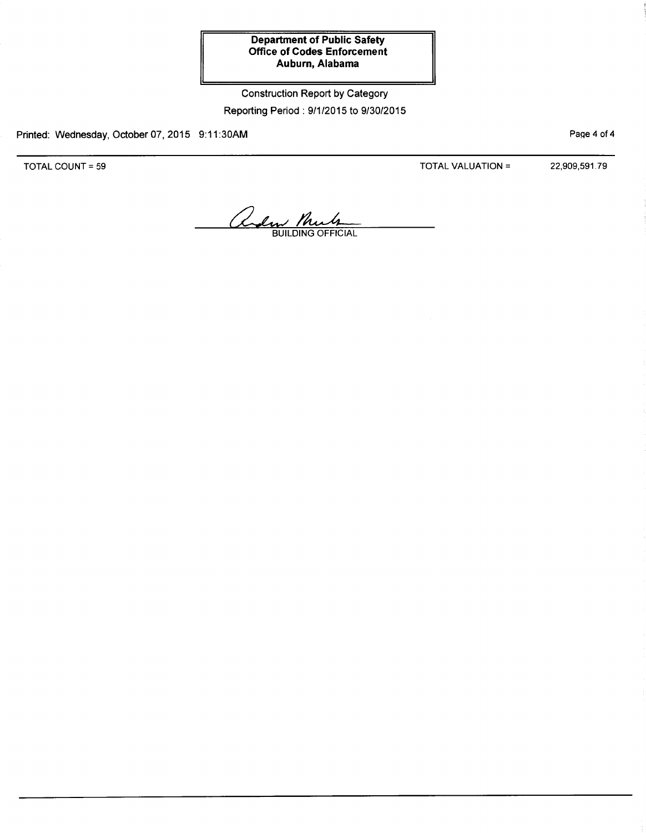# Construction Report by Category Reporting Period : 9/1/2015 to 9/30/2015

Printed: Wednesday, October 07, 2015 9:11 :30AM

TOTAL COUNT= 59

TOTAL VALUATION= 22,909,591.79

PaQe 4 of 4

alm Mule